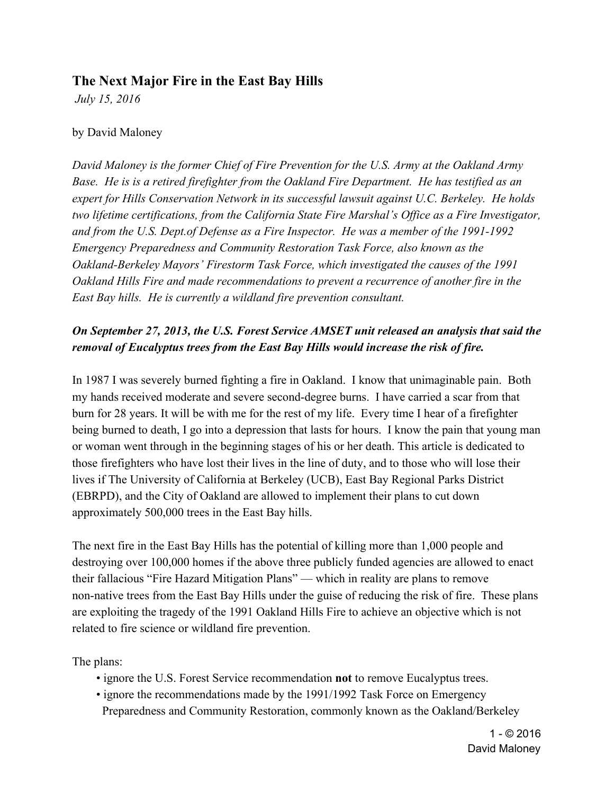# **The Next Major Fire in the East Bay Hills**

 *July 15, 2016*

#### by David Maloney

*David Maloney is the former Chief of Fire Prevention for the U.S. Army at the Oakland Army Base. He is is a retired firefighter from the Oakland Fire Department. He has testified as an expert for Hills Conservation Network in its successful lawsuit against U.C. Berkeley. He holds two lifetime certifications, from the California State Fire Marshal's Office as a Fire Investigator, and from the U.S. Dept.of Defense as a Fire Inspector. He was a member of the 1991-1992 Emergency Preparedness and Community Restoration Task Force, also known as the Oakland-Berkeley Mayors' Firestorm Task Force, which investigated the causes of the 1991 Oakland Hills Fire and made recommendations to prevent a recurrence of another fire in the East Bay hills. He is currently a wildland fire prevention consultant.*

# *On September 27, 2013, the U.S. Forest Service AMSET unit released an analysis that said the removal of Eucalyptus trees from the East Bay Hills would increase the risk of fire.*

In 1987 I was severely burned fighting a fire in Oakland. I know that unimaginable pain. Both my hands received moderate and severe second-degree burns. I have carried a scar from that burn for 28 years. It will be with me for the rest of my life. Every time I hear of a firefighter being burned to death, I go into a depression that lasts for hours. I know the pain that young man or woman went through in the beginning stages of his or her death. This article is dedicated to those firefighters who have lost their lives in the line of duty, and to those who will lose their lives if The University of California at Berkeley (UCB), East Bay Regional Parks District (EBRPD), and the City of Oakland are allowed to implement their plans to cut down approximately 500,000 trees in the East Bay hills.

The next fire in the East Bay Hills has the potential of killing more than 1,000 people and destroying over 100,000 homes if the above three publicly funded agencies are allowed to enact their fallacious "Fire Hazard Mitigation Plans" — which in reality are plans to remove non-native trees from the East Bay Hills under the guise of reducing the risk of fire. These plans are exploiting the tragedy of the 1991 Oakland Hills Fire to achieve an objective which is not related to fire science or wildland fire prevention.

The plans:

- ignore the U.S. Forest Service recommendation **not** to remove Eucalyptus trees.
- ignore the recommendations made by the 1991/1992 Task Force on Emergency Preparedness and Community Restoration, commonly known as the Oakland/Berkeley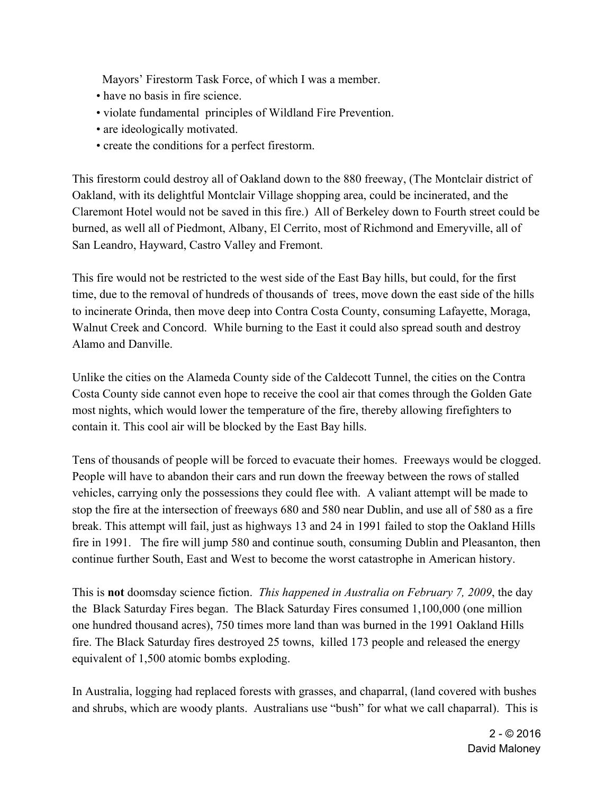Mayors' Firestorm Task Force, of which I was a member.

- have no basis in fire science.
- violate fundamental principles of Wildland Fire Prevention.
- are ideologically motivated.
- create the conditions for a perfect firestorm.

This firestorm could destroy all of Oakland down to the 880 freeway, (The Montclair district of Oakland, with its delightful Montclair Village shopping area, could be incinerated, and the Claremont Hotel would not be saved in this fire.) All of Berkeley down to Fourth street could be burned, as well all of Piedmont, Albany, El Cerrito, most of Richmond and Emeryville, all of San Leandro, Hayward, Castro Valley and Fremont.

This fire would not be restricted to the west side of the East Bay hills, but could, for the first time, due to the removal of hundreds of thousands of trees, move down the east side of the hills to incinerate Orinda, then move deep into Contra Costa County, consuming Lafayette, Moraga, Walnut Creek and Concord. While burning to the East it could also spread south and destroy Alamo and Danville.

Unlike the cities on the Alameda County side of the Caldecott Tunnel, the cities on the Contra Costa County side cannot even hope to receive the cool air that comes through the Golden Gate most nights, which would lower the temperature of the fire, thereby allowing firefighters to contain it. This cool air will be blocked by the East Bay hills.

Tens of thousands of people will be forced to evacuate their homes. Freeways would be clogged. People will have to abandon their cars and run down the freeway between the rows of stalled vehicles, carrying only the possessions they could flee with. A valiant attempt will be made to stop the fire at the intersection of freeways 680 and 580 near Dublin, and use all of 580 as a fire break. This attempt will fail, just as highways 13 and 24 in 1991 failed to stop the Oakland Hills fire in 1991. The fire will jump 580 and continue south, consuming Dublin and Pleasanton, then continue further South, East and West to become the worst catastrophe in American history.

This is **not** doomsday science fiction. *This happened in Australia on February 7, 2009*, the day the Black Saturday Fires began. The Black Saturday Fires consumed 1,100,000 (one million one hundred thousand acres), 750 times more land than was burned in the 1991 Oakland Hills fire. The Black Saturday fires destroyed 25 towns, killed 173 people and released the energy equivalent of 1,500 atomic bombs exploding.

In Australia, logging had replaced forests with grasses, and chaparral, (land covered with bushes and shrubs, which are woody plants. Australians use "bush" for what we call chaparral). This is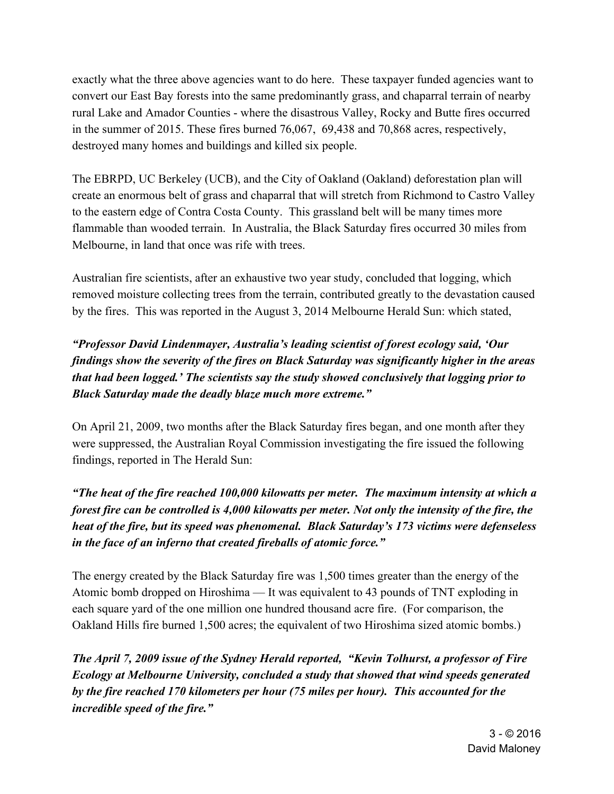exactly what the three above agencies want to do here. These taxpayer funded agencies want to convert our East Bay forests into the same predominantly grass, and chaparral terrain of nearby rural Lake and Amador Counties - where the disastrous Valley, Rocky and Butte fires occurred in the summer of 2015. These fires burned 76,067, 69,438 and 70,868 acres, respectively, destroyed many homes and buildings and killed six people.

The EBRPD, UC Berkeley (UCB), and the City of Oakland (Oakland) deforestation plan will create an enormous belt of grass and chaparral that will stretch from Richmond to Castro Valley to the eastern edge of Contra Costa County. This grassland belt will be many times more flammable than wooded terrain. In Australia, the Black Saturday fires occurred 30 miles from Melbourne, in land that once was rife with trees.

Australian fire scientists, after an exhaustive two year study, concluded that logging, which removed moisture collecting trees from the terrain, contributed greatly to the devastation caused by the fires. This was reported in the August 3, 2014 Melbourne Herald Sun: which stated,

*"Professor David Lindenmayer, Australia's leading scientist of forest ecology said, 'Our findings show the severity of the fires on Black Saturday was significantly higher in the areas that had been logged.' The scientists say the study showed conclusively that logging prior to Black Saturday made the deadly blaze much more extreme."*

On April 21, 2009, two months after the Black Saturday fires began, and one month after they were suppressed, the Australian Royal Commission investigating the fire issued the following findings, reported in The Herald Sun:

*"The heat of the fire reached 100,000 kilowatts per meter. The maximum intensity at which a forest fire can be controlled is 4,000 kilowatts per meter. Not only the intensity of the fire, the heat of the fire, but its speed was phenomenal. Black Saturday's 173 victims were defenseless in the face of an inferno that created fireballs of atomic force."*

The energy created by the Black Saturday fire was 1,500 times greater than the energy of the Atomic bomb dropped on Hiroshima — It was equivalent to 43 pounds of TNT exploding in each square yard of the one million one hundred thousand acre fire. (For comparison, the Oakland Hills fire burned 1,500 acres; the equivalent of two Hiroshima sized atomic bombs.)

*The April 7, 2009 issue of the Sydney Herald reported, "Kevin Tolhurst, a professor of Fire Ecology at Melbourne University, concluded a study that showed that wind speeds generated by the fire reached 170 kilometers per hour (75 miles per hour). This accounted for the incredible speed of the fire."*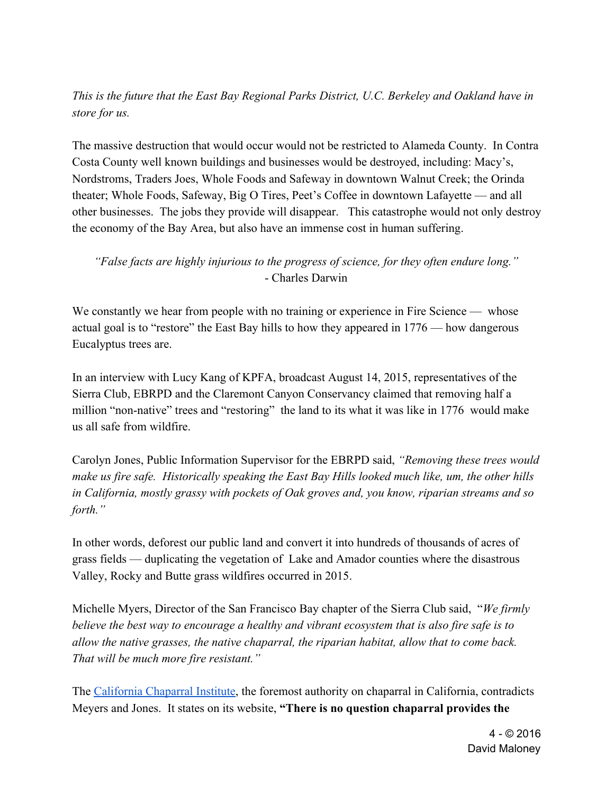## *This is the future that the East Bay Regional Parks District, U.C. Berkeley and Oakland have in store for us.*

The massive destruction that would occur would not be restricted to Alameda County. In Contra Costa County well known buildings and businesses would be destroyed, including: Macy's, Nordstroms, Traders Joes, Whole Foods and Safeway in downtown Walnut Creek; the Orinda theater; Whole Foods, Safeway, Big O Tires, Peet's Coffee in downtown Lafayette — and all other businesses. The jobs they provide will disappear. This catastrophe would not only destroy the economy of the Bay Area, but also have an immense cost in human suffering.

#### *"False facts are highly injurious to the progress of science, for they often endure long."* - Charles Darwin

We constantly we hear from people with no training or experience in Fire Science — whose actual goal is to "restore" the East Bay hills to how they appeared in 1776 — how dangerous Eucalyptus trees are.

In an interview with Lucy Kang of KPFA, broadcast August 14, 2015, representatives of the Sierra Club, EBRPD and the Claremont Canyon Conservancy claimed that removing half a million "non-native" trees and "restoring" the land to its what it was like in 1776 would make us all safe from wildfire.

Carolyn Jones, Public Information Supervisor for the EBRPD said, *"Removing these trees would make us fire safe. Historically speaking the East Bay Hills looked much like, um, the other hills in California, mostly grassy with pockets of Oak groves and, you know, riparian streams and so forth."*

In other words, deforest our public land and convert it into hundreds of thousands of acres of grass fields — duplicating the vegetation of Lake and Amador counties where the disastrous Valley, Rocky and Butte grass wildfires occurred in 2015.

Michelle Myers, Director of the San Francisco Bay chapter of the Sierra Club said, "*We firmly believe the best way to encourage a healthy and vibrant ecosystem that is also fire safe is to allow the native grasses, the native chaparral, the riparian habitat, allow that to come back. That will be much more fire resistant."*

The California Chaparral Institute, the foremost authority on chaparral in California, contradicts Meyers and Jones. It states on its website, **"There is no question chaparral provides the**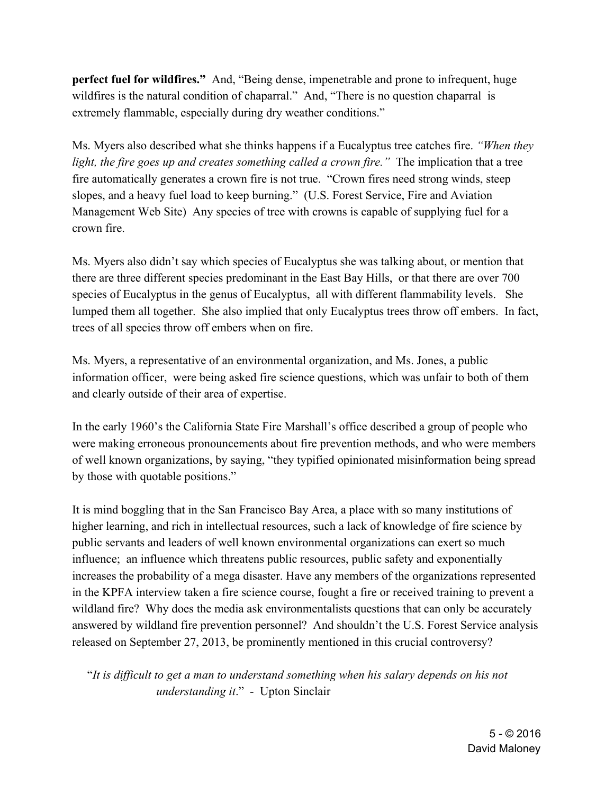**perfect fuel for wildfires."**  And, "Being dense, impenetrable and prone to infrequent, huge wildfires is the natural condition of chaparral." And, "There is no question chaparral is extremely flammable, especially during dry weather conditions."

Ms. Myers also described what she thinks happens if a Eucalyptus tree catches fire. *"When they light, the fire goes up and creates something called a crown fire.*" The implication that a tree fire automatically generates a crown fire is not true. "Crown fires need strong winds, steep slopes, and a heavy fuel load to keep burning." (U.S. Forest Service, Fire and Aviation Management Web Site) Any species of tree with crowns is capable of supplying fuel for a crown fire.

Ms. Myers also didn't say which species of Eucalyptus she was talking about, or mention that there are three different species predominant in the East Bay Hills, or that there are over 700 species of Eucalyptus in the genus of Eucalyptus, all with different flammability levels. She lumped them all together. She also implied that only Eucalyptus trees throw off embers. In fact, trees of all species throw off embers when on fire.

Ms. Myers, a representative of an environmental organization, and Ms. Jones, a public information officer, were being asked fire science questions, which was unfair to both of them and clearly outside of their area of expertise.

In the early 1960's the California State Fire Marshall's office described a group of people who were making erroneous pronouncements about fire prevention methods, and who were members of well known organizations, by saying, "they typified opinionated misinformation being spread by those with quotable positions."

It is mind boggling that in the San Francisco Bay Area, a place with so many institutions of higher learning, and rich in intellectual resources, such a lack of knowledge of fire science by public servants and leaders of well known environmental organizations can exert so much influence; an influence which threatens public resources, public safety and exponentially increases the probability of a mega disaster. Have any members of the organizations represented in the KPFA interview taken a fire science course, fought a fire or received training to prevent a wildland fire? Why does the media ask environmentalists questions that can only be accurately answered by wildland fire prevention personnel? And shouldn't the U.S. Forest Service analysis released on September 27, 2013, be prominently mentioned in this crucial controversy?

 "*It is difficult to get a man to understand something when his salary depends on his not understanding it*." - Upton Sinclair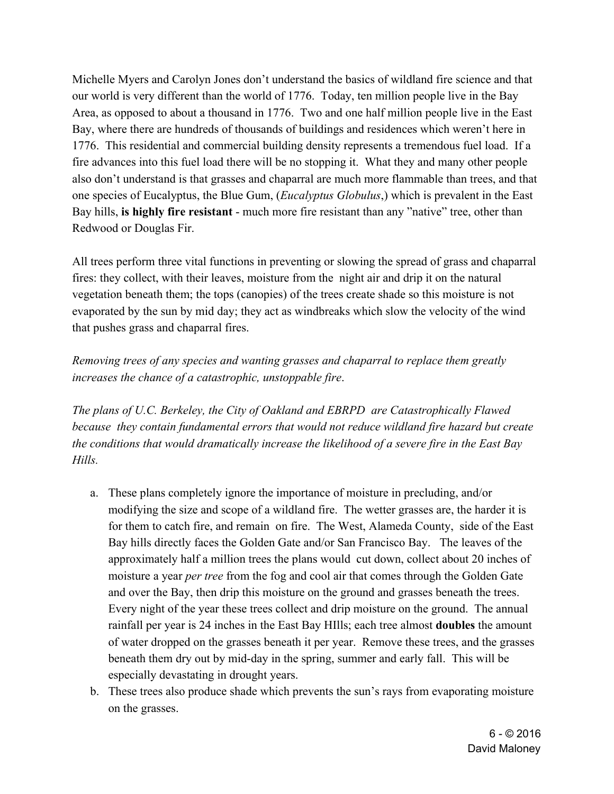Michelle Myers and Carolyn Jones don't understand the basics of wildland fire science and that our world is very different than the world of 1776. Today, ten million people live in the Bay Area, as opposed to about a thousand in 1776. Two and one half million people live in the East Bay, where there are hundreds of thousands of buildings and residences which weren't here in 1776. This residential and commercial building density represents a tremendous fuel load. If a fire advances into this fuel load there will be no stopping it. What they and many other people also don't understand is that grasses and chaparral are much more flammable than trees, and that one species of Eucalyptus, the Blue Gum, (*Eucalyptus Globulus*,) which is prevalent in the East Bay hills, **is highly fire resistant** - much more fire resistant than any "native" tree, other than Redwood or Douglas Fir.

All trees perform three vital functions in preventing or slowing the spread of grass and chaparral fires: they collect, with their leaves, moisture from the night air and drip it on the natural vegetation beneath them; the tops (canopies) of the trees create shade so this moisture is not evaporated by the sun by mid day; they act as windbreaks which slow the velocity of the wind that pushes grass and chaparral fires.

*Removing trees of any species and wanting grasses and chaparral to replace them greatly increases the chance of a catastrophic, unstoppable fire*.

*The plans of U.C. Berkeley, the City of Oakland and EBRPD are Catastrophically Flawed because they contain fundamental errors that would not reduce wildland fire hazard but create the conditions that would dramatically increase the likelihood of a severe fire in the East Bay Hills.*

- a. These plans completely ignore the importance of moisture in precluding, and/or modifying the size and scope of a wildland fire. The wetter grasses are, the harder it is for them to catch fire, and remain on fire. The West, Alameda County, side of the East Bay hills directly faces the Golden Gate and/or San Francisco Bay. The leaves of the approximately half a million trees the plans would cut down, collect about 20 inches of moisture a year *per tree* from the fog and cool air that comes through the Golden Gate and over the Bay, then drip this moisture on the ground and grasses beneath the trees. Every night of the year these trees collect and drip moisture on the ground. The annual rainfall per year is 24 inches in the East Bay HIlls; each tree almost **doubles** the amount of water dropped on the grasses beneath it per year. Remove these trees, and the grasses beneath them dry out by mid-day in the spring, summer and early fall. This will be especially devastating in drought years.
- b. These trees also produce shade which prevents the sun's rays from evaporating moisture on the grasses.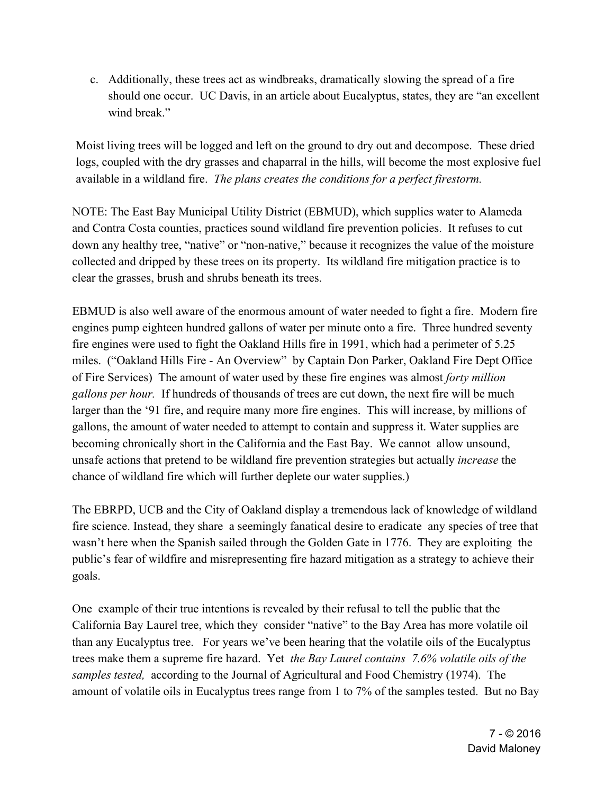c. Additionally, these trees act as windbreaks, dramatically slowing the spread of a fire should one occur. UC Davis, in an article about Eucalyptus, states, they are "an excellent wind break"

Moist living trees will be logged and left on the ground to dry out and decompose. These dried logs, coupled with the dry grasses and chaparral in the hills, will become the most explosive fuel available in a wildland fire. *The plans creates the conditions for a perfect firestorm.*

NOTE: The East Bay Municipal Utility District (EBMUD), which supplies water to Alameda and Contra Costa counties, practices sound wildland fire prevention policies. It refuses to cut down any healthy tree, "native" or "non-native," because it recognizes the value of the moisture collected and dripped by these trees on its property. Its wildland fire mitigation practice is to clear the grasses, brush and shrubs beneath its trees.

EBMUD is also well aware of the enormous amount of water needed to fight a fire. Modern fire engines pump eighteen hundred gallons of water per minute onto a fire. Three hundred seventy fire engines were used to fight the Oakland Hills fire in 1991, which had a perimeter of 5.25 miles. ("Oakland Hills Fire - An Overview" by Captain Don Parker, Oakland Fire Dept Office of Fire Services) The amount of water used by these fire engines was almost *forty million gallons per hour.* If hundreds of thousands of trees are cut down, the next fire will be much larger than the '91 fire, and require many more fire engines. This will increase, by millions of gallons, the amount of water needed to attempt to contain and suppress it. Water supplies are becoming chronically short in the California and the East Bay. We cannot allow unsound, unsafe actions that pretend to be wildland fire prevention strategies but actually *increase* the chance of wildland fire which will further deplete our water supplies.)

The EBRPD, UCB and the City of Oakland display a tremendous lack of knowledge of wildland fire science. Instead, they share a seemingly fanatical desire to eradicate any species of tree that wasn't here when the Spanish sailed through the Golden Gate in 1776. They are exploiting the public's fear of wildfire and misrepresenting fire hazard mitigation as a strategy to achieve their goals.

One example of their true intentions is revealed by their refusal to tell the public that the California Bay Laurel tree, which they consider "native" to the Bay Area has more volatile oil than any Eucalyptus tree. For years we've been hearing that the volatile oils of the Eucalyptus trees make them a supreme fire hazard. Yet *the Bay Laurel contains 7.6% volatile oils of the samples tested,* according to the Journal of Agricultural and Food Chemistry (1974). The amount of volatile oils in Eucalyptus trees range from 1 to 7% of the samples tested. But no Bay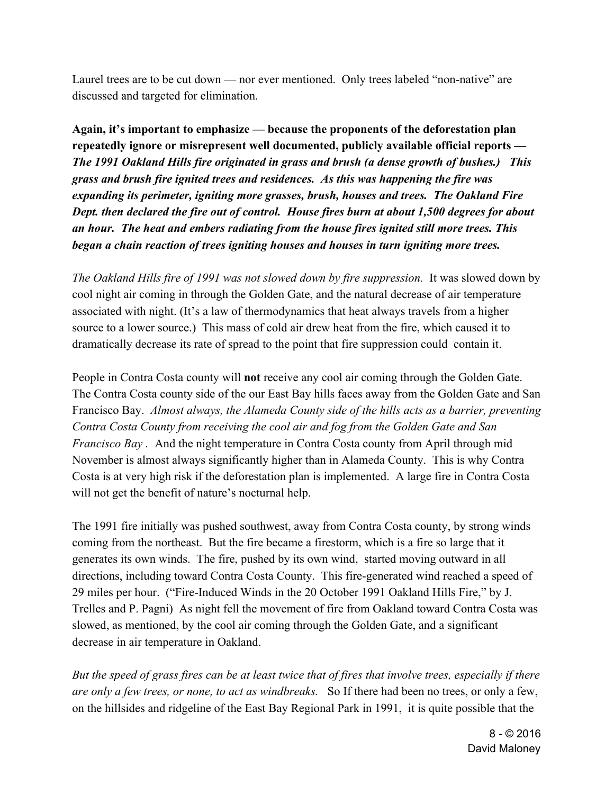Laurel trees are to be cut down — nor ever mentioned. Only trees labeled "non-native" are discussed and targeted for elimination.

**Again, it's important to emphasize — because the proponents of the deforestation plan repeatedly ignore or misrepresent well documented, publicly available official reports** *— The 1991 Oakland Hills fire originated in grass and brush (a dense growth of bushes.) This grass and brush fire ignited trees and residences. As this was happening the fire was expanding its perimeter, igniting more grasses, brush, houses and trees. The Oakland Fire Dept. then declared the fire out of control. House fires burn at about 1,500 degrees for about an hour. The heat and embers radiating from the house fires ignited still more trees. This began a chain reaction of trees igniting houses and houses in turn igniting more trees.*

*The Oakland Hills fire of 1991 was not slowed down by fire suppression.* It was slowed down by cool night air coming in through the Golden Gate, and the natural decrease of air temperature associated with night. (It's a law of thermodynamics that heat always travels from a higher source to a lower source.) This mass of cold air drew heat from the fire, which caused it to dramatically decrease its rate of spread to the point that fire suppression could contain it.

People in Contra Costa county will **not** receive any cool air coming through the Golden Gate. The Contra Costa county side of the our East Bay hills faces away from the Golden Gate and San Francisco Bay. *Almost always, the Alameda County side of the hills acts as a barrier, preventing Contra Costa County from receiving the cool air and fog from the Golden Gate and San Francisco Bay .* And the night temperature in Contra Costa county from April through mid November is almost always significantly higher than in Alameda County. This is why Contra Costa is at very high risk if the deforestation plan is implemented. A large fire in Contra Costa will not get the benefit of nature's nocturnal help.

The 1991 fire initially was pushed southwest, away from Contra Costa county, by strong winds coming from the northeast. But the fire became a firestorm, which is a fire so large that it generates its own winds. The fire, pushed by its own wind, started moving outward in all directions, including toward Contra Costa County. This fire-generated wind reached a speed of 29 miles per hour. ("Fire-Induced Winds in the 20 October 1991 Oakland Hills Fire," by J. Trelles and P. Pagni) As night fell the movement of fire from Oakland toward Contra Costa was slowed, as mentioned, by the cool air coming through the Golden Gate, and a significant decrease in air temperature in Oakland.

*But the speed of grass fires can be at least twice that of fires that involve trees, especially if there are only a few trees, or none, to act as windbreaks.* So If there had been no trees, or only a few, on the hillsides and ridgeline of the East Bay Regional Park in 1991, it is quite possible that the

> 8 - © 2016 David Maloney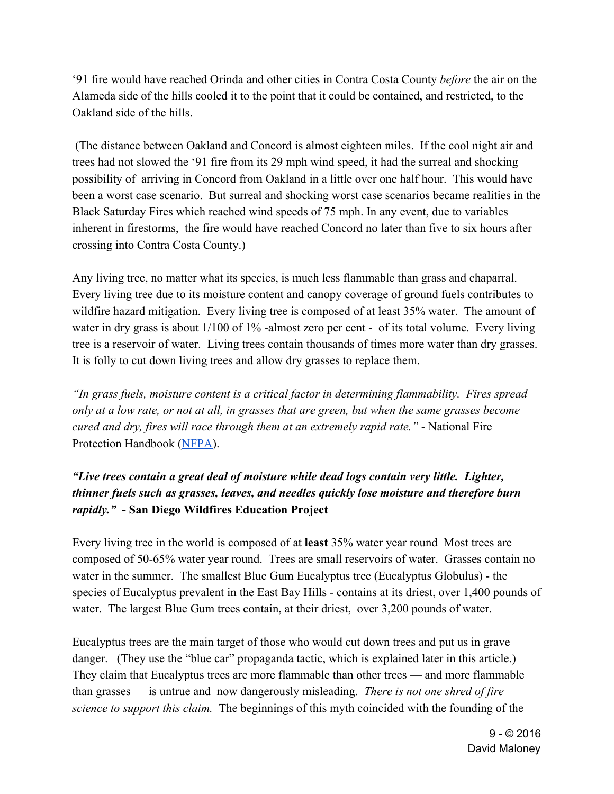'91 fire would have reached Orinda and other cities in Contra Costa County *before* the air on the Alameda side of the hills cooled it to the point that it could be contained, and restricted, to the Oakland side of the hills.

 (The distance between Oakland and Concord is almost eighteen miles. If the cool night air and trees had not slowed the '91 fire from its 29 mph wind speed, it had the surreal and shocking possibility of arriving in Concord from Oakland in a little over one half hour. This would have been a worst case scenario. But surreal and shocking worst case scenarios became realities in the Black Saturday Fires which reached wind speeds of 75 mph. In any event, due to variables inherent in firestorms, the fire would have reached Concord no later than five to six hours after crossing into Contra Costa County.)

Any living tree, no matter what its species, is much less flammable than grass and chaparral. Every living tree due to its moisture content and canopy coverage of ground fuels contributes to wildfire hazard mitigation. Every living tree is composed of at least 35% water. The amount of water in dry grass is about 1/100 of 1% -almost zero per cent - of its total volume. Every living tree is a reservoir of water. Living trees contain thousands of times more water than dry grasses. It is folly to cut down living trees and allow dry grasses to replace them.

*"In grass fuels, moisture content is a critical factor in determining flammability. Fires spread only at a low rate, or not at all, in grasses that are green, but when the same grasses become cured and dry, fires will race through them at an extremely rapid rate."* - National Fire Protection Handbook (NFPA).

## *"Live trees contain a great deal of moisture while dead logs contain very little. Lighter, thinner fuels such as grasses, leaves, and needles quickly lose moisture and therefore burn rapidly."* **- San Diego Wildfires Education Project**

Every living tree in the world is composed of at **least** 35% water year round Most trees are composed of 50-65% water year round. Trees are small reservoirs of water. Grasses contain no water in the summer. The smallest Blue Gum Eucalyptus tree (Eucalyptus Globulus) - the species of Eucalyptus prevalent in the East Bay Hills - contains at its driest, over 1,400 pounds of water. The largest Blue Gum trees contain, at their driest, over 3,200 pounds of water.

Eucalyptus trees are the main target of those who would cut down trees and put us in grave danger. (They use the "blue car" propaganda tactic, which is explained later in this article.) They claim that Eucalyptus trees are more flammable than other trees — and more flammable than grasses — is untrue and now dangerously misleading. *There is not one shred of fire science to support this claim.* The beginnings of this myth coincided with the founding of the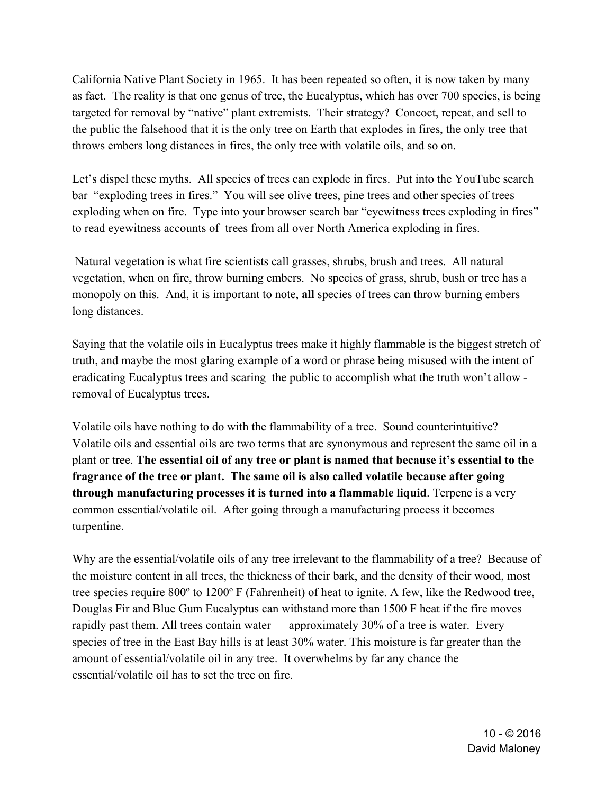California Native Plant Society in 1965. It has been repeated so often, it is now taken by many as fact. The reality is that one genus of tree, the Eucalyptus, which has over 700 species, is being targeted for removal by "native" plant extremists. Their strategy? Concoct, repeat, and sell to the public the falsehood that it is the only tree on Earth that explodes in fires, the only tree that throws embers long distances in fires, the only tree with volatile oils, and so on.

Let's dispel these myths. All species of trees can explode in fires. Put into the YouTube search bar "exploding trees in fires." You will see olive trees, pine trees and other species of trees exploding when on fire. Type into your browser search bar "eyewitness trees exploding in fires" to read eyewitness accounts of trees from all over North America exploding in fires.

 Natural vegetation is what fire scientists call grasses, shrubs, brush and trees. All natural vegetation, when on fire, throw burning embers. No species of grass, shrub, bush or tree has a monopoly on this. And, it is important to note, **all** species of trees can throw burning embers long distances.

Saying that the volatile oils in Eucalyptus trees make it highly flammable is the biggest stretch of truth, and maybe the most glaring example of a word or phrase being misused with the intent of eradicating Eucalyptus trees and scaring the public to accomplish what the truth won't allow removal of Eucalyptus trees.

Volatile oils have nothing to do with the flammability of a tree. Sound counterintuitive? Volatile oils and essential oils are two terms that are synonymous and represent the same oil in a plant or tree. **The essential oil of any tree or plant is named that because it's essential to the fragrance of the tree or plant. The same oil is also called volatile because after going through manufacturing processes it is turned into a flammable liquid**. Terpene is a very common essential/volatile oil. After going through a manufacturing process it becomes turpentine.

Why are the essential/volatile oils of any tree irrelevant to the flammability of a tree? Because of the moisture content in all trees, the thickness of their bark, and the density of their wood, most tree species require 800º to 1200º F (Fahrenheit) of heat to ignite. A few, like the Redwood tree, Douglas Fir and Blue Gum Eucalyptus can withstand more than 1500 F heat if the fire moves rapidly past them. All trees contain water — approximately 30% of a tree is water. Every species of tree in the East Bay hills is at least 30% water. This moisture is far greater than the amount of essential/volatile oil in any tree. It overwhelms by far any chance the essential/volatile oil has to set the tree on fire.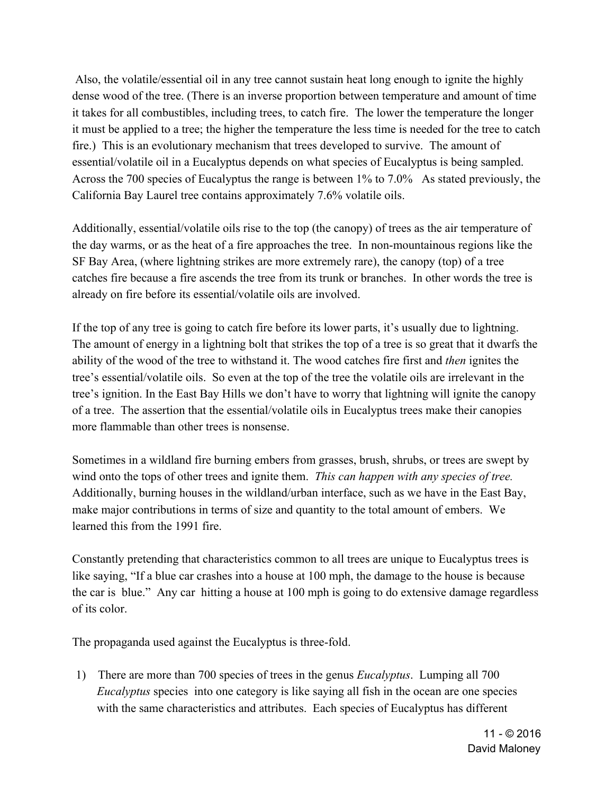Also, the volatile/essential oil in any tree cannot sustain heat long enough to ignite the highly dense wood of the tree. (There is an inverse proportion between temperature and amount of time it takes for all combustibles, including trees, to catch fire. The lower the temperature the longer it must be applied to a tree; the higher the temperature the less time is needed for the tree to catch fire.) This is an evolutionary mechanism that trees developed to survive. The amount of essential/volatile oil in a Eucalyptus depends on what species of Eucalyptus is being sampled. Across the 700 species of Eucalyptus the range is between 1% to 7.0% As stated previously, the California Bay Laurel tree contains approximately 7.6% volatile oils.

Additionally, essential/volatile oils rise to the top (the canopy) of trees as the air temperature of the day warms, or as the heat of a fire approaches the tree. In non-mountainous regions like the SF Bay Area, (where lightning strikes are more extremely rare), the canopy (top) of a tree catches fire because a fire ascends the tree from its trunk or branches. In other words the tree is already on fire before its essential/volatile oils are involved.

If the top of any tree is going to catch fire before its lower parts, it's usually due to lightning. The amount of energy in a lightning bolt that strikes the top of a tree is so great that it dwarfs the ability of the wood of the tree to withstand it. The wood catches fire first and *then* ignites the tree's essential/volatile oils. So even at the top of the tree the volatile oils are irrelevant in the tree's ignition. In the East Bay Hills we don't have to worry that lightning will ignite the canopy of a tree. The assertion that the essential/volatile oils in Eucalyptus trees make their canopies more flammable than other trees is nonsense.

Sometimes in a wildland fire burning embers from grasses, brush, shrubs, or trees are swept by wind onto the tops of other trees and ignite them. *This can happen with any species of tree.* Additionally, burning houses in the wildland/urban interface, such as we have in the East Bay, make major contributions in terms of size and quantity to the total amount of embers. We learned this from the 1991 fire.

Constantly pretending that characteristics common to all trees are unique to Eucalyptus trees is like saying, "If a blue car crashes into a house at 100 mph, the damage to the house is because the car is blue." Any car hitting a house at 100 mph is going to do extensive damage regardless of its color.

The propaganda used against the Eucalyptus is three-fold.

1) There are more than 700 species of trees in the genus *Eucalyptus*. Lumping all 700 *Eucalyptus* species into one category is like saying all fish in the ocean are one species with the same characteristics and attributes. Each species of Eucalyptus has different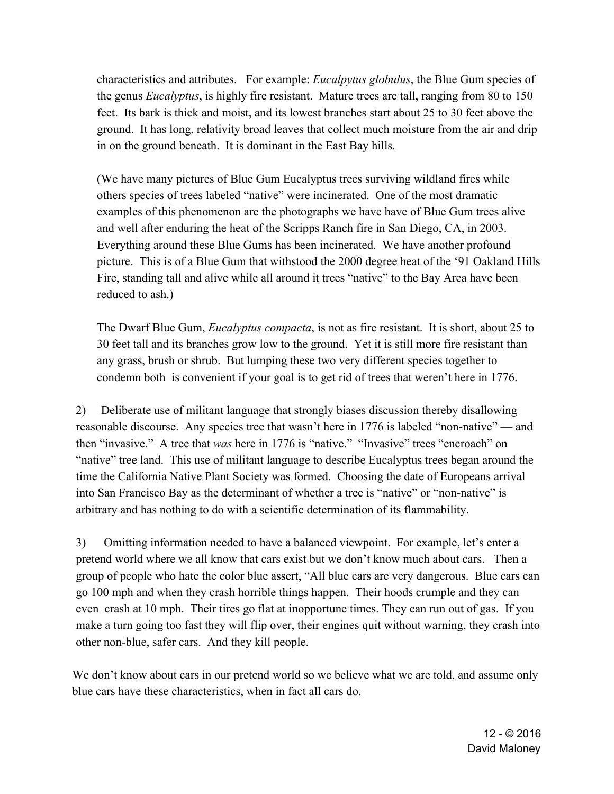characteristics and attributes. For example: *Eucalpytus globulus*, the Blue Gum species of the genus *Eucalyptus*, is highly fire resistant. Mature trees are tall, ranging from 80 to 150 feet. Its bark is thick and moist, and its lowest branches start about 25 to 30 feet above the ground. It has long, relativity broad leaves that collect much moisture from the air and drip in on the ground beneath. It is dominant in the East Bay hills.

 (We have many pictures of Blue Gum Eucalyptus trees surviving wildland fires while others species of trees labeled "native" were incinerated. One of the most dramatic examples of this phenomenon are the photographs we have have of Blue Gum trees alive and well after enduring the heat of the Scripps Ranch fire in San Diego, CA, in 2003. Everything around these Blue Gums has been incinerated. We have another profound picture. This is of a Blue Gum that withstood the 2000 degree heat of the '91 Oakland Hills Fire, standing tall and alive while all around it trees "native" to the Bay Area have been reduced to ash.)

 The Dwarf Blue Gum, *Eucalyptus compacta*, is not as fire resistant. It is short, about 25 to 30 feet tall and its branches grow low to the ground. Yet it is still more fire resistant than any grass, brush or shrub. But lumping these two very different species together to condemn both is convenient if your goal is to get rid of trees that weren't here in 1776.

2) Deliberate use of militant language that strongly biases discussion thereby disallowing reasonable discourse. Any species tree that wasn't here in 1776 is labeled "non-native" — and then "invasive." A tree that *was* here in 1776 is "native." "Invasive" trees "encroach" on "native" tree land. This use of militant language to describe Eucalyptus trees began around the time the California Native Plant Society was formed. Choosing the date of Europeans arrival into San Francisco Bay as the determinant of whether a tree is "native" or "non-native" is arbitrary and has nothing to do with a scientific determination of its flammability.

3) Omitting information needed to have a balanced viewpoint. For example, let's enter a pretend world where we all know that cars exist but we don't know much about cars. Then a group of people who hate the color blue assert, "All blue cars are very dangerous. Blue cars can go 100 mph and when they crash horrible things happen. Their hoods crumple and they can even crash at 10 mph. Their tires go flat at inopportune times. They can run out of gas. If you make a turn going too fast they will flip over, their engines quit without warning, they crash into other non-blue, safer cars. And they kill people.

We don't know about cars in our pretend world so we believe what we are told, and assume only blue cars have these characteristics, when in fact all cars do.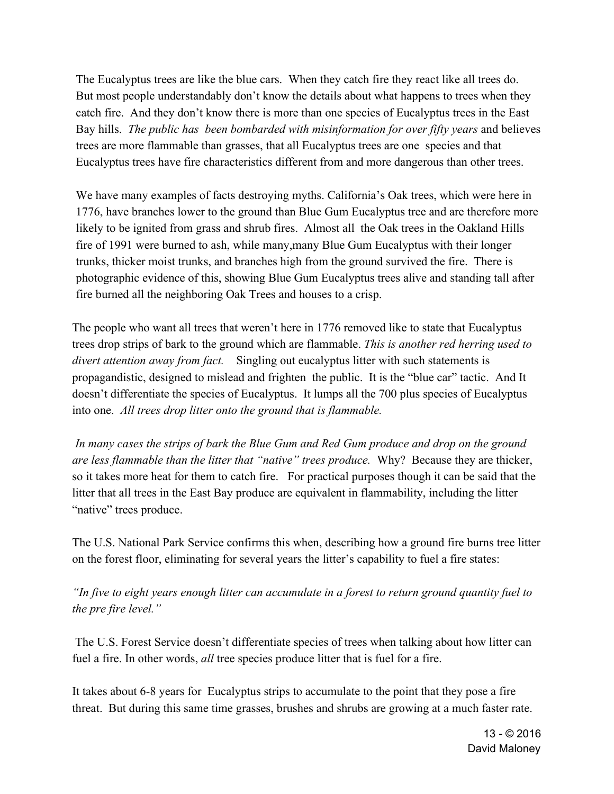The Eucalyptus trees are like the blue cars. When they catch fire they react like all trees do. But most people understandably don't know the details about what happens to trees when they catch fire. And they don't know there is more than one species of Eucalyptus trees in the East Bay hills. *The public has been bombarded with misinformation for over fifty years* and believes trees are more flammable than grasses, that all Eucalyptus trees are one species and that Eucalyptus trees have fire characteristics different from and more dangerous than other trees.

We have many examples of facts destroying myths. California's Oak trees, which were here in 1776, have branches lower to the ground than Blue Gum Eucalyptus tree and are therefore more likely to be ignited from grass and shrub fires. Almost all the Oak trees in the Oakland Hills fire of 1991 were burned to ash, while many,many Blue Gum Eucalyptus with their longer trunks, thicker moist trunks, and branches high from the ground survived the fire. There is photographic evidence of this, showing Blue Gum Eucalyptus trees alive and standing tall after fire burned all the neighboring Oak Trees and houses to a crisp.

The people who want all trees that weren't here in 1776 removed like to state that Eucalyptus trees drop strips of bark to the ground which are flammable. *This is another red herring used to divert attention away from fact.* Singling out eucalyptus litter with such statements is propagandistic, designed to mislead and frighten the public. It is the "blue car" tactic. And It doesn't differentiate the species of Eucalyptus. It lumps all the 700 plus species of Eucalyptus into one. *All trees drop litter onto the ground that is flammable.*

*In many cases the strips of bark the Blue Gum and Red Gum produce and drop on the ground are less flammable than the litter that "native" trees produce.* Why? Because they are thicker, so it takes more heat for them to catch fire. For practical purposes though it can be said that the litter that all trees in the East Bay produce are equivalent in flammability, including the litter "native" trees produce.

The U.S. National Park Service confirms this when, describing how a ground fire burns tree litter on the forest floor, eliminating for several years the litter's capability to fuel a fire states:

*"In five to eight years enough litter can accumulate in a forest to return ground quantity fuel to the pre fire level."*

 The U.S. Forest Service doesn't differentiate species of trees when talking about how litter can fuel a fire. In other words, *all* tree species produce litter that is fuel for a fire.

It takes about 6-8 years for Eucalyptus strips to accumulate to the point that they pose a fire threat. But during this same time grasses, brushes and shrubs are growing at a much faster rate.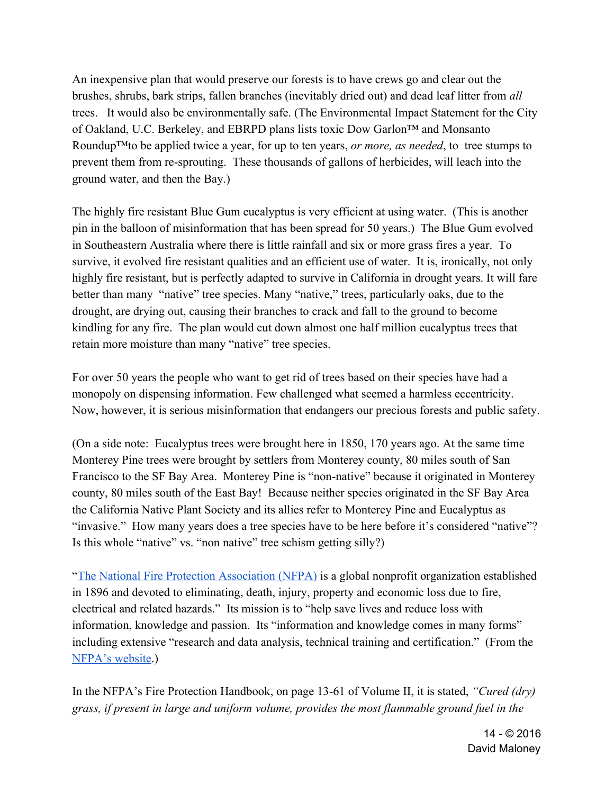An inexpensive plan that would preserve our forests is to have crews go and clear out the brushes, shrubs, bark strips, fallen branches (inevitably dried out) and dead leaf litter from *all* trees. It would also be environmentally safe. (The Environmental Impact Statement for the City of Oakland, U.C. Berkeley, and EBRPD plans lists toxic Dow Garlon™ and Monsanto Roundup™to be applied twice a year, for up to ten years, *or more, as needed*, to tree stumps to prevent them from re-sprouting. These thousands of gallons of herbicides, will leach into the ground water, and then the Bay.)

The highly fire resistant Blue Gum eucalyptus is very efficient at using water. (This is another pin in the balloon of misinformation that has been spread for 50 years.) The Blue Gum evolved in Southeastern Australia where there is little rainfall and six or more grass fires a year. To survive, it evolved fire resistant qualities and an efficient use of water. It is, ironically, not only highly fire resistant, but is perfectly adapted to survive in California in drought years. It will fare better than many "native" tree species. Many "native," trees, particularly oaks, due to the drought, are drying out, causing their branches to crack and fall to the ground to become kindling for any fire. The plan would cut down almost one half million eucalyptus trees that retain more moisture than many "native" tree species.

For over 50 years the people who want to get rid of trees based on their species have had a monopoly on dispensing information. Few challenged what seemed a harmless eccentricity. Now, however, it is serious misinformation that endangers our precious forests and public safety.

(On a side note: Eucalyptus trees were brought here in 1850, 170 years ago. At the same time Monterey Pine trees were brought by settlers from Monterey county, 80 miles south of San Francisco to the SF Bay Area. Monterey Pine is "non-native" because it originated in Monterey county, 80 miles south of the East Bay! Because neither species originated in the SF Bay Area the California Native Plant Society and its allies refer to Monterey Pine and Eucalyptus as "invasive." How many years does a tree species have to be here before it's considered "native"? Is this whole "native" vs. "non native" tree schism getting silly?)

"The National Fire Protection Association (NFPA) is a global nonprofit organization established in 1896 and devoted to eliminating, death, injury, property and economic loss due to fire, electrical and related hazards." Its mission is to "help save lives and reduce loss with information, knowledge and passion. Its "information and knowledge comes in many forms" including extensive "research and data analysis, technical training and certification." (From the NFPA's website.)

In the NFPA's Fire Protection Handbook, on page 13-61 of Volume II, it is stated, *"Cured (dry) grass, if present in large and uniform volume, provides the most flammable ground fuel in the*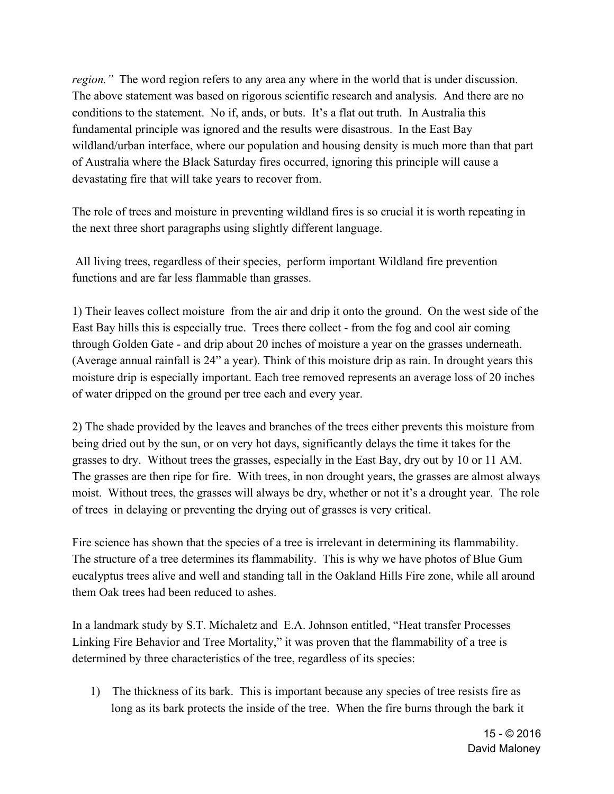*region.*" The word region refers to any area any where in the world that is under discussion. The above statement was based on rigorous scientific research and analysis. And there are no conditions to the statement. No if, ands, or buts. It's a flat out truth. In Australia this fundamental principle was ignored and the results were disastrous. In the East Bay wildland/urban interface, where our population and housing density is much more than that part of Australia where the Black Saturday fires occurred, ignoring this principle will cause a devastating fire that will take years to recover from.

The role of trees and moisture in preventing wildland fires is so crucial it is worth repeating in the next three short paragraphs using slightly different language.

 All living trees, regardless of their species, perform important Wildland fire prevention functions and are far less flammable than grasses.

1) Their leaves collect moisture from the air and drip it onto the ground. On the west side of the East Bay hills this is especially true. Trees there collect - from the fog and cool air coming through Golden Gate - and drip about 20 inches of moisture a year on the grasses underneath. (Average annual rainfall is 24" a year). Think of this moisture drip as rain. In drought years this moisture drip is especially important. Each tree removed represents an average loss of 20 inches of water dripped on the ground per tree each and every year.

2) The shade provided by the leaves and branches of the trees either prevents this moisture from being dried out by the sun, or on very hot days, significantly delays the time it takes for the grasses to dry. Without trees the grasses, especially in the East Bay, dry out by 10 or 11 AM. The grasses are then ripe for fire. With trees, in non drought years, the grasses are almost always moist. Without trees, the grasses will always be dry, whether or not it's a drought year. The role of trees in delaying or preventing the drying out of grasses is very critical.

Fire science has shown that the species of a tree is irrelevant in determining its flammability. The structure of a tree determines its flammability. This is why we have photos of Blue Gum eucalyptus trees alive and well and standing tall in the Oakland Hills Fire zone, while all around them Oak trees had been reduced to ashes.

In a landmark study by S.T. Michaletz and E.A. Johnson entitled, "Heat transfer Processes Linking Fire Behavior and Tree Mortality," it was proven that the flammability of a tree is determined by three characteristics of the tree, regardless of its species:

1) The thickness of its bark. This is important because any species of tree resists fire as long as its bark protects the inside of the tree. When the fire burns through the bark it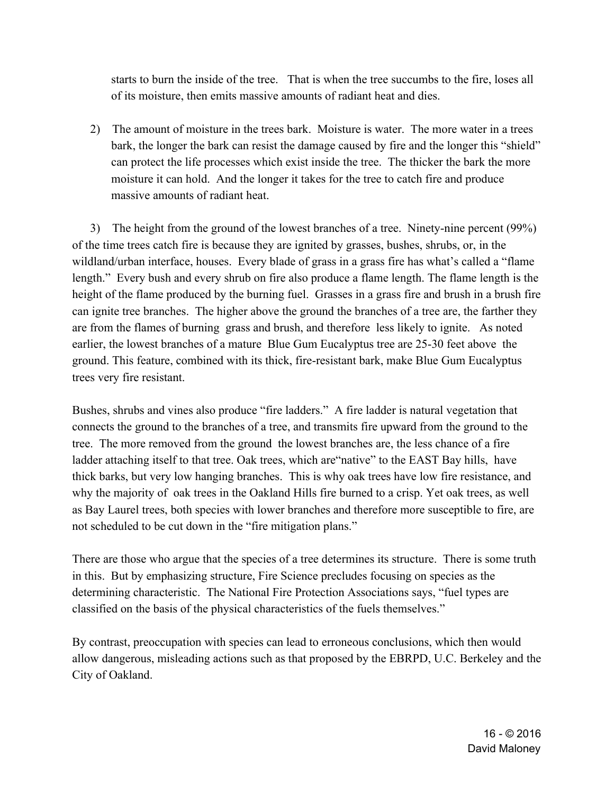starts to burn the inside of the tree. That is when the tree succumbs to the fire, loses all of its moisture, then emits massive amounts of radiant heat and dies.

2) The amount of moisture in the trees bark. Moisture is water. The more water in a trees bark, the longer the bark can resist the damage caused by fire and the longer this "shield" can protect the life processes which exist inside the tree. The thicker the bark the more moisture it can hold. And the longer it takes for the tree to catch fire and produce massive amounts of radiant heat.

 3) The height from the ground of the lowest branches of a tree. Ninety-nine percent (99%) of the time trees catch fire is because they are ignited by grasses, bushes, shrubs, or, in the wildland/urban interface, houses. Every blade of grass in a grass fire has what's called a "flame length." Every bush and every shrub on fire also produce a flame length. The flame length is the height of the flame produced by the burning fuel. Grasses in a grass fire and brush in a brush fire can ignite tree branches. The higher above the ground the branches of a tree are, the farther they are from the flames of burning grass and brush, and therefore less likely to ignite. As noted earlier, the lowest branches of a mature Blue Gum Eucalyptus tree are 25-30 feet above the ground. This feature, combined with its thick, fire-resistant bark, make Blue Gum Eucalyptus trees very fire resistant.

Bushes, shrubs and vines also produce "fire ladders." A fire ladder is natural vegetation that connects the ground to the branches of a tree, and transmits fire upward from the ground to the tree. The more removed from the ground the lowest branches are, the less chance of a fire ladder attaching itself to that tree. Oak trees, which are"native" to the EAST Bay hills, have thick barks, but very low hanging branches. This is why oak trees have low fire resistance, and why the majority of oak trees in the Oakland Hills fire burned to a crisp. Yet oak trees, as well as Bay Laurel trees, both species with lower branches and therefore more susceptible to fire, are not scheduled to be cut down in the "fire mitigation plans."

There are those who argue that the species of a tree determines its structure. There is some truth in this. But by emphasizing structure, Fire Science precludes focusing on species as the determining characteristic. The National Fire Protection Associations says, "fuel types are classified on the basis of the physical characteristics of the fuels themselves."

By contrast, preoccupation with species can lead to erroneous conclusions, which then would allow dangerous, misleading actions such as that proposed by the EBRPD, U.C. Berkeley and the City of Oakland.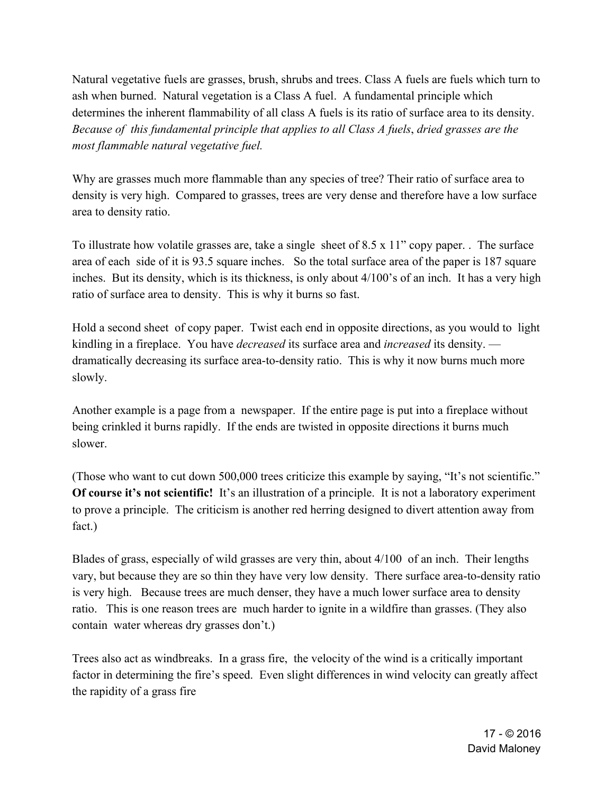Natural vegetative fuels are grasses, brush, shrubs and trees. Class A fuels are fuels which turn to ash when burned. Natural vegetation is a Class A fuel. A fundamental principle which determines the inherent flammability of all class A fuels is its ratio of surface area to its density. *Because of this fundamental principle that applies to all Class A fuels*, *dried grasses are the most flammable natural vegetative fuel.*

Why are grasses much more flammable than any species of tree? Their ratio of surface area to density is very high. Compared to grasses, trees are very dense and therefore have a low surface area to density ratio.

To illustrate how volatile grasses are, take a single sheet of 8.5 x 11" copy paper. . The surface area of each side of it is 93.5 square inches. So the total surface area of the paper is 187 square inches. But its density, which is its thickness, is only about 4/100's of an inch. It has a very high ratio of surface area to density. This is why it burns so fast.

Hold a second sheet of copy paper. Twist each end in opposite directions, as you would to light kindling in a fireplace. You have *decreased* its surface area and *increased* its density. dramatically decreasing its surface area-to-density ratio. This is why it now burns much more slowly.

Another example is a page from a newspaper. If the entire page is put into a fireplace without being crinkled it burns rapidly. If the ends are twisted in opposite directions it burns much slower.

(Those who want to cut down 500,000 trees criticize this example by saying, "It's not scientific." **Of course it's not scientific!** It's an illustration of a principle. It is not a laboratory experiment to prove a principle. The criticism is another red herring designed to divert attention away from fact.)

Blades of grass, especially of wild grasses are very thin, about 4/100 of an inch. Their lengths vary, but because they are so thin they have very low density. There surface area-to-density ratio is very high. Because trees are much denser, they have a much lower surface area to density ratio. This is one reason trees are much harder to ignite in a wildfire than grasses. (They also contain water whereas dry grasses don't.)

Trees also act as windbreaks. In a grass fire, the velocity of the wind is a critically important factor in determining the fire's speed. Even slight differences in wind velocity can greatly affect the rapidity of a grass fire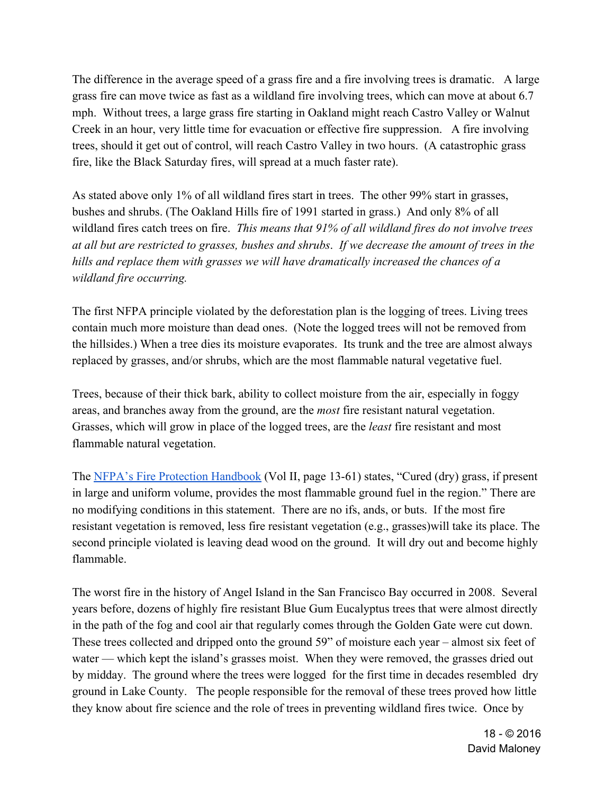The difference in the average speed of a grass fire and a fire involving trees is dramatic. A large grass fire can move twice as fast as a wildland fire involving trees, which can move at about 6.7 mph. Without trees, a large grass fire starting in Oakland might reach Castro Valley or Walnut Creek in an hour, very little time for evacuation or effective fire suppression. A fire involving trees, should it get out of control, will reach Castro Valley in two hours. (A catastrophic grass fire, like the Black Saturday fires, will spread at a much faster rate).

As stated above only 1% of all wildland fires start in trees. The other 99% start in grasses, bushes and shrubs. (The Oakland Hills fire of 1991 started in grass.) And only 8% of all wildland fires catch trees on fire. *This means that 91% of all wildland fires do not involve trees at all but are restricted to grasses, bushes and shrubs*. *If we decrease the amount of trees in the hills and replace them with grasses we will have dramatically increased the chances of a wildland fire occurring.*

The first NFPA principle violated by the deforestation plan is the logging of trees. Living trees contain much more moisture than dead ones. (Note the logged trees will not be removed from the hillsides.) When a tree dies its moisture evaporates. Its trunk and the tree are almost always replaced by grasses, and/or shrubs, which are the most flammable natural vegetative fuel.

Trees, because of their thick bark, ability to collect moisture from the air, especially in foggy areas, and branches away from the ground, are the *most* fire resistant natural vegetation. Grasses, which will grow in place of the logged trees, are the *least* fire resistant and most flammable natural vegetation.

The NFPA's Fire Protection Handbook (Vol II, page 13-61) states, "Cured (dry) grass, if present in large and uniform volume, provides the most flammable ground fuel in the region." There are no modifying conditions in this statement. There are no ifs, ands, or buts. If the most fire resistant vegetation is removed, less fire resistant vegetation (e.g., grasses)will take its place. The second principle violated is leaving dead wood on the ground. It will dry out and become highly flammable.

The worst fire in the history of Angel Island in the San Francisco Bay occurred in 2008. Several years before, dozens of highly fire resistant Blue Gum Eucalyptus trees that were almost directly in the path of the fog and cool air that regularly comes through the Golden Gate were cut down. These trees collected and dripped onto the ground 59" of moisture each year – almost six feet of water — which kept the island's grasses moist. When they were removed, the grasses dried out by midday. The ground where the trees were logged for the first time in decades resembled dry ground in Lake County. The people responsible for the removal of these trees proved how little they know about fire science and the role of trees in preventing wildland fires twice. Once by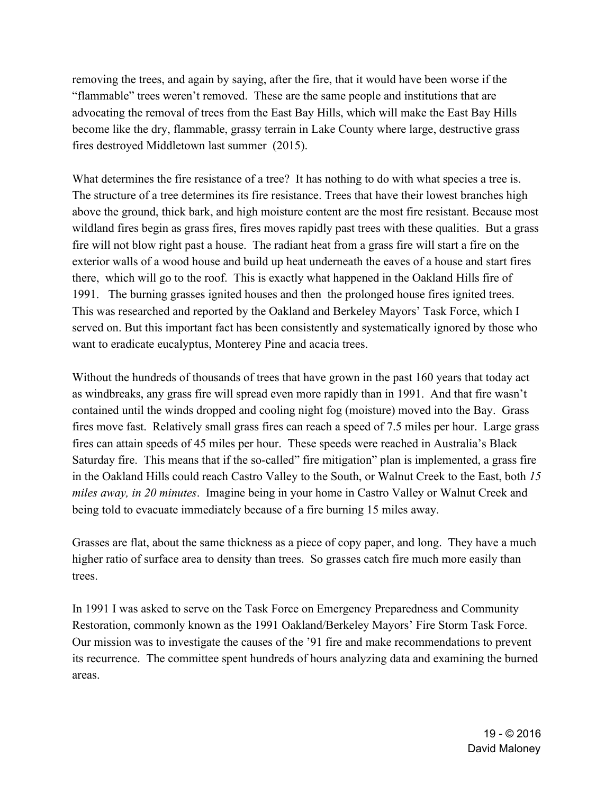removing the trees, and again by saying, after the fire, that it would have been worse if the "flammable" trees weren't removed. These are the same people and institutions that are advocating the removal of trees from the East Bay Hills, which will make the East Bay Hills become like the dry, flammable, grassy terrain in Lake County where large, destructive grass fires destroyed Middletown last summer (2015).

What determines the fire resistance of a tree? It has nothing to do with what species a tree is. The structure of a tree determines its fire resistance. Trees that have their lowest branches high above the ground, thick bark, and high moisture content are the most fire resistant. Because most wildland fires begin as grass fires, fires moves rapidly past trees with these qualities. But a grass fire will not blow right past a house. The radiant heat from a grass fire will start a fire on the exterior walls of a wood house and build up heat underneath the eaves of a house and start fires there, which will go to the roof. This is exactly what happened in the Oakland Hills fire of 1991. The burning grasses ignited houses and then the prolonged house fires ignited trees. This was researched and reported by the Oakland and Berkeley Mayors' Task Force, which I served on. But this important fact has been consistently and systematically ignored by those who want to eradicate eucalyptus, Monterey Pine and acacia trees.

Without the hundreds of thousands of trees that have grown in the past 160 years that today act as windbreaks, any grass fire will spread even more rapidly than in 1991. And that fire wasn't contained until the winds dropped and cooling night fog (moisture) moved into the Bay. Grass fires move fast. Relatively small grass fires can reach a speed of 7.5 miles per hour. Large grass fires can attain speeds of 45 miles per hour. These speeds were reached in Australia's Black Saturday fire. This means that if the so-called" fire mitigation" plan is implemented, a grass fire in the Oakland Hills could reach Castro Valley to the South, or Walnut Creek to the East, both *15 miles away, in 20 minutes*. Imagine being in your home in Castro Valley or Walnut Creek and being told to evacuate immediately because of a fire burning 15 miles away.

Grasses are flat, about the same thickness as a piece of copy paper, and long. They have a much higher ratio of surface area to density than trees. So grasses catch fire much more easily than trees.

In 1991 I was asked to serve on the Task Force on Emergency Preparedness and Community Restoration, commonly known as the 1991 Oakland/Berkeley Mayors' Fire Storm Task Force. Our mission was to investigate the causes of the '91 fire and make recommendations to prevent its recurrence. The committee spent hundreds of hours analyzing data and examining the burned areas.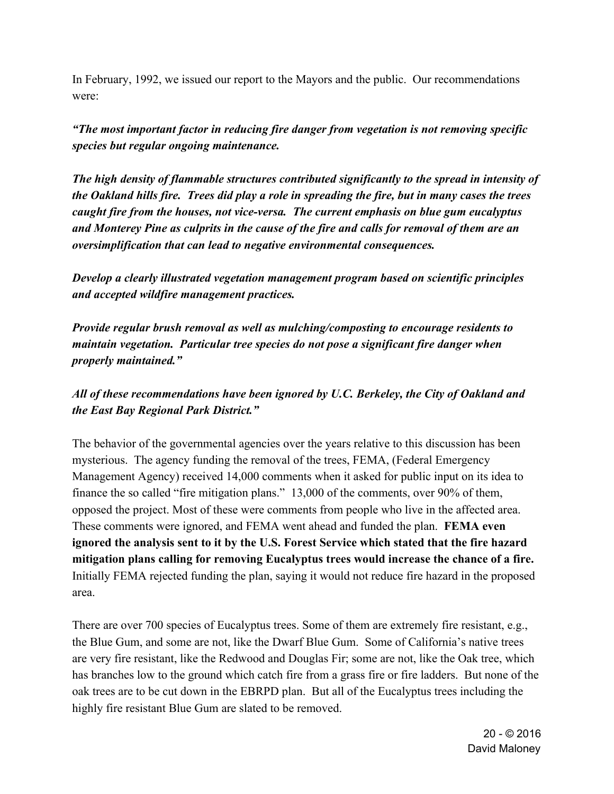In February, 1992, we issued our report to the Mayors and the public. Our recommendations were:

### *"The most important factor in reducing fire danger from vegetation is not removing specific species but regular ongoing maintenance.*

*The high density of flammable structures contributed significantly to the spread in intensity of the Oakland hills fire. Trees did play a role in spreading the fire, but in many cases the trees caught fire from the houses, not vice-versa. The current emphasis on blue gum eucalyptus and Monterey Pine as culprits in the cause of the fire and calls for removal of them are an oversimplification that can lead to negative environmental consequences.*

*Develop a clearly illustrated vegetation management program based on scientific principles and accepted wildfire management practices.*

*Provide regular brush removal as well as mulching/composting to encourage residents to maintain vegetation. Particular tree species do not pose a significant fire danger when properly maintained."*

## *All of these recommendations have been ignored by U.C. Berkeley, the City of Oakland and the East Bay Regional Park District."*

The behavior of the governmental agencies over the years relative to this discussion has been mysterious. The agency funding the removal of the trees, FEMA, (Federal Emergency Management Agency) received 14,000 comments when it asked for public input on its idea to finance the so called "fire mitigation plans." 13,000 of the comments, over 90% of them, opposed the project. Most of these were comments from people who live in the affected area. These comments were ignored, and FEMA went ahead and funded the plan. **FEMA even ignored the analysis sent to it by the U.S. Forest Service which stated that the fire hazard mitigation plans calling for removing Eucalyptus trees would increase the chance of a fire.** Initially FEMA rejected funding the plan, saying it would not reduce fire hazard in the proposed area.

There are over 700 species of Eucalyptus trees. Some of them are extremely fire resistant, e.g., the Blue Gum, and some are not, like the Dwarf Blue Gum. Some of California's native trees are very fire resistant, like the Redwood and Douglas Fir; some are not, like the Oak tree, which has branches low to the ground which catch fire from a grass fire or fire ladders. But none of the oak trees are to be cut down in the EBRPD plan. But all of the Eucalyptus trees including the highly fire resistant Blue Gum are slated to be removed.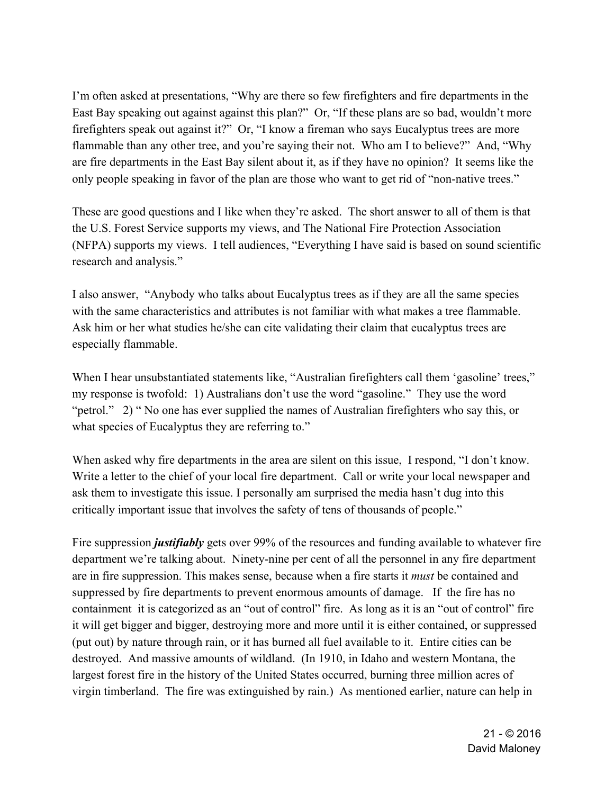I'm often asked at presentations, "Why are there so few firefighters and fire departments in the East Bay speaking out against against this plan?" Or, "If these plans are so bad, wouldn't more firefighters speak out against it?" Or, "I know a fireman who says Eucalyptus trees are more flammable than any other tree, and you're saying their not. Who am I to believe?" And, "Why are fire departments in the East Bay silent about it, as if they have no opinion? It seems like the only people speaking in favor of the plan are those who want to get rid of "non-native trees."

These are good questions and I like when they're asked. The short answer to all of them is that the U.S. Forest Service supports my views, and The National Fire Protection Association (NFPA) supports my views. I tell audiences, "Everything I have said is based on sound scientific research and analysis."

I also answer, "Anybody who talks about Eucalyptus trees as if they are all the same species with the same characteristics and attributes is not familiar with what makes a tree flammable. Ask him or her what studies he/she can cite validating their claim that eucalyptus trees are especially flammable.

When I hear unsubstantiated statements like, "Australian firefighters call them 'gasoline' trees," my response is twofold: 1) Australians don't use the word "gasoline." They use the word "petrol." 2) " No one has ever supplied the names of Australian firefighters who say this, or what species of Eucalyptus they are referring to."

When asked why fire departments in the area are silent on this issue. I respond, "I don't know. Write a letter to the chief of your local fire department. Call or write your local newspaper and ask them to investigate this issue. I personally am surprised the media hasn't dug into this critically important issue that involves the safety of tens of thousands of people."

Fire suppression *justifiably* gets over 99% of the resources and funding available to whatever fire department we're talking about. Ninety-nine per cent of all the personnel in any fire department are in fire suppression. This makes sense, because when a fire starts it *must* be contained and suppressed by fire departments to prevent enormous amounts of damage. If the fire has no containment it is categorized as an "out of control" fire. As long as it is an "out of control" fire it will get bigger and bigger, destroying more and more until it is either contained, or suppressed (put out) by nature through rain, or it has burned all fuel available to it. Entire cities can be destroyed. And massive amounts of wildland. (In 1910, in Idaho and western Montana, the largest forest fire in the history of the United States occurred, burning three million acres of virgin timberland. The fire was extinguished by rain.) As mentioned earlier, nature can help in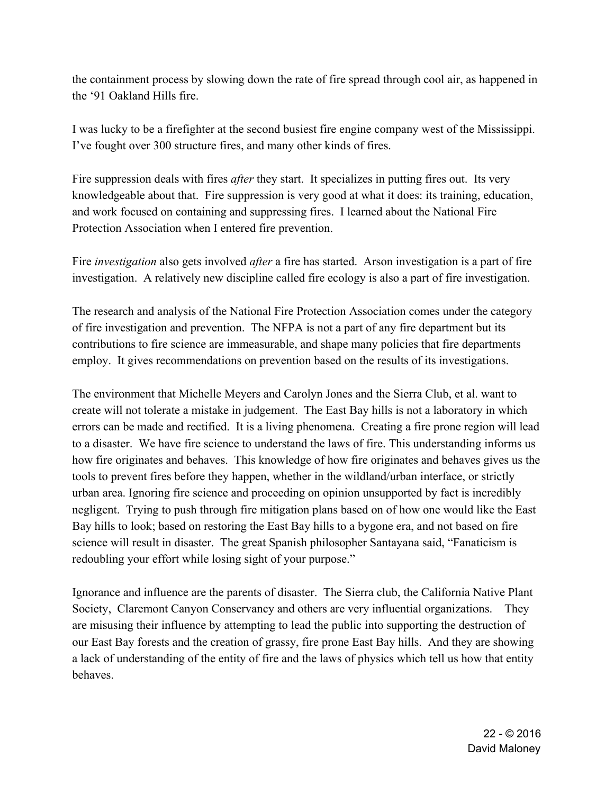the containment process by slowing down the rate of fire spread through cool air, as happened in the '91 Oakland Hills fire.

I was lucky to be a firefighter at the second busiest fire engine company west of the Mississippi. I've fought over 300 structure fires, and many other kinds of fires.

Fire suppression deals with fires *after* they start. It specializes in putting fires out. Its very knowledgeable about that. Fire suppression is very good at what it does: its training, education, and work focused on containing and suppressing fires. I learned about the National Fire Protection Association when I entered fire prevention.

Fire *investigation* also gets involved *after* a fire has started. Arson investigation is a part of fire investigation. A relatively new discipline called fire ecology is also a part of fire investigation.

The research and analysis of the National Fire Protection Association comes under the category of fire investigation and prevention. The NFPA is not a part of any fire department but its contributions to fire science are immeasurable, and shape many policies that fire departments employ. It gives recommendations on prevention based on the results of its investigations.

The environment that Michelle Meyers and Carolyn Jones and the Sierra Club, et al. want to create will not tolerate a mistake in judgement. The East Bay hills is not a laboratory in which errors can be made and rectified. It is a living phenomena. Creating a fire prone region will lead to a disaster. We have fire science to understand the laws of fire. This understanding informs us how fire originates and behaves. This knowledge of how fire originates and behaves gives us the tools to prevent fires before they happen, whether in the wildland/urban interface, or strictly urban area. Ignoring fire science and proceeding on opinion unsupported by fact is incredibly negligent. Trying to push through fire mitigation plans based on of how one would like the East Bay hills to look; based on restoring the East Bay hills to a bygone era, and not based on fire science will result in disaster. The great Spanish philosopher Santayana said, "Fanaticism is redoubling your effort while losing sight of your purpose."

Ignorance and influence are the parents of disaster. The Sierra club, the California Native Plant Society, Claremont Canyon Conservancy and others are very influential organizations. They are misusing their influence by attempting to lead the public into supporting the destruction of our East Bay forests and the creation of grassy, fire prone East Bay hills. And they are showing a lack of understanding of the entity of fire and the laws of physics which tell us how that entity behaves.